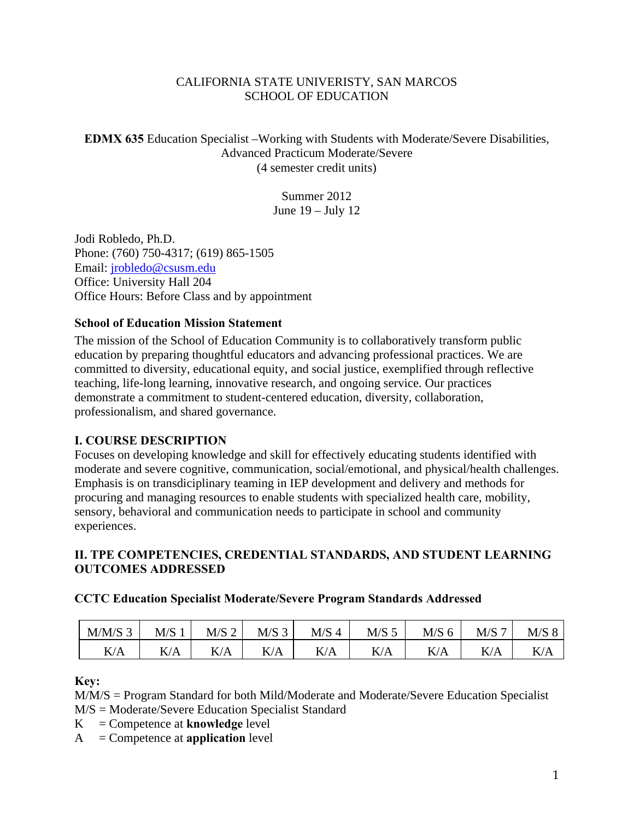### CALIFORNIA STATE UNIVERISTY, SAN MARCOS SCHOOL OF EDUCATION

**EDMX 635** Education Specialist –Working with Students with Moderate/Severe Disabilities, Advanced Practicum Moderate/Severe (4 semester credit units)

> Summer 2012 June 19 – July 12

Jodi Robledo, Ph.D. Phone: (760) 750-4317; (619) 865-1505 Email: jrobledo@csusm.edu Office: University Hall 204 Office Hours: Before Class and by appointment

### **School of Education Mission Statement**

The mission of the School of Education Community is to collaboratively transform public education by preparing thoughtful educators and advancing professional practices. We are committed to diversity, educational equity, and social justice, exemplified through reflective teaching, life-long learning, innovative research, and ongoing service. Our practices demonstrate a commitment to student-centered education, diversity, collaboration, professionalism, and shared governance.

## **I. COURSE DESCRIPTION**

Focuses on developing knowledge and skill for effectively educating students identified with moderate and severe cognitive, communication, social/emotional, and physical/health challenges. Emphasis is on transdiciplinary teaming in IEP development and delivery and methods for procuring and managing resources to enable students with specialized health care, mobility, sensory, behavioral and communication needs to participate in school and community experiences.

## **II. TPE COMPETENCIES, CREDENTIAL STANDARDS, AND STUDENT LEARNING OUTCOMES ADDRESSED**

## **CCTC Education Specialist Moderate/Severe Program Standards Addressed**

| $M/M/S$ 3 | M/S | $M/S$ 2 | $M/S$ 3 | M/S <sub>4</sub> | $M/S$ 5 | $M/S$ 6 | $M/S$ $\overline{\phantom{a}}$ | M/S 8 |
|-----------|-----|---------|---------|------------------|---------|---------|--------------------------------|-------|
| K/A       | K/A | K/A     | K/A     | K/A              | K/A     | K/A     | K/A                            | K/A   |

## **Key:**

M/M/S = Program Standard for both Mild/Moderate and Moderate/Severe Education Specialist M/S = Moderate/Severe Education Specialist Standard

 $K =$  Competence at **knowledge** level

A = Competence at **application** level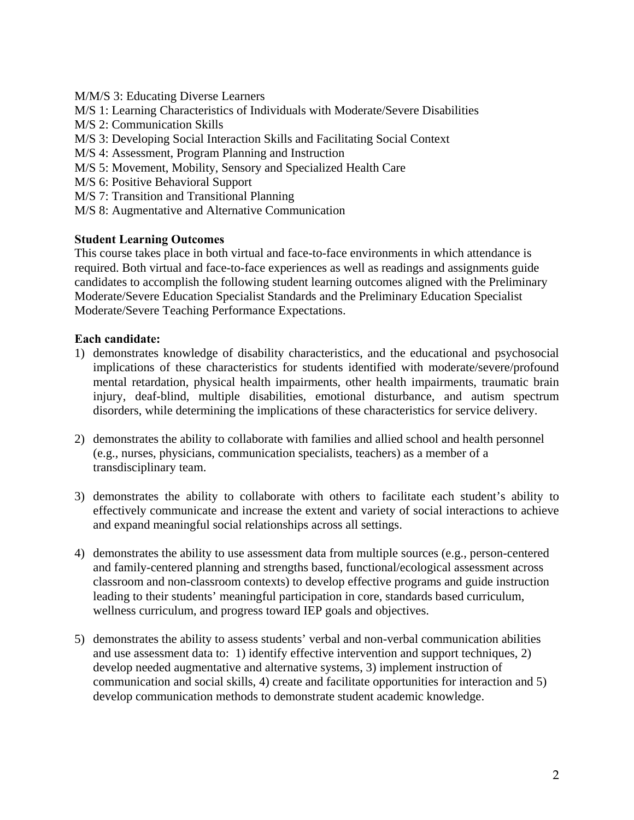- M/M/S 3: Educating Diverse Learners
- M/S 1: Learning Characteristics of Individuals with Moderate/Severe Disabilities
- M/S 2: Communication Skills
- M/S 3: Developing Social Interaction Skills and Facilitating Social Context
- M/S 4: Assessment, Program Planning and Instruction
- M/S 5: Movement, Mobility, Sensory and Specialized Health Care M/S 6: Positive Behavioral Support
- 
- M/S 7: Transition and Transitional Planning
- M/S 8: Augmentative and Alternative Communication

### **Student Learning Outcomes**

This course takes place in both virtual and face-to-face environments in which attendance is required. Both virtual and face-to-face experiences as well as readings and assignments guide candidates to accomplish the following student learning outcomes aligned with the Preliminary Moderate/Severe Education Specialist Standards and the Preliminary Education Specialist Moderate/Severe Teaching Performance Expectations.

### **Each candidate:**

- 1) demonstrates knowledge of disability characteristics, and the educational and psychosocial implications of these characteristics for students identified with moderate/severe/profound mental retardation, physical health impairments, other health impairments, traumatic brain injury, deaf-blind, multiple disabilities, emotional disturbance, and autism spectrum disorders, while determining the implications of these characteristics for service delivery.
- 2) demonstrates the ability to collaborate with families and allied school and health personnel (e.g., nurses, physicians, communication specialists, teachers) as a member of a transdisciplinary team.
- 3) demonstrates the ability to collaborate with others to facilitate each student's ability to effectively communicate and increase the extent and variety of social interactions to achieve and expand meaningful social relationships across all settings.
- 4) demonstrates the ability to use assessment data from multiple sources (e.g., person-centered and family-centered planning and strengths based, functional/ecological assessment across classroom and non-classroom contexts) to develop effective programs and guide instruction leading to their students' meaningful participation in core, standards based curriculum, wellness curriculum, and progress toward IEP goals and objectives.
- 5) demonstrates the ability to assess students' verbal and non-verbal communication abilities and use assessment data to: 1) identify effective intervention and support techniques, 2) develop needed augmentative and alternative systems, 3) implement instruction of communication and social skills, 4) create and facilitate opportunities for interaction and 5) develop communication methods to demonstrate student academic knowledge.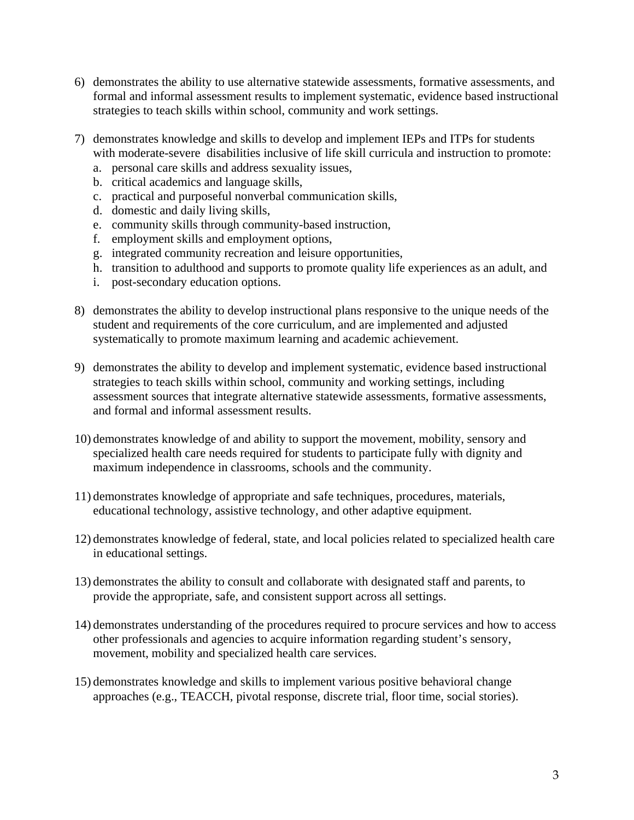- 6) demonstrates the ability to use alternative statewide assessments, formative assessments, and formal and informal assessment results to implement systematic, evidence based instructional strategies to teach skills within school, community and work settings.
- 7) demonstrates knowledge and skills to develop and implement IEPs and ITPs for students with moderate-severe disabilities inclusive of life skill curricula and instruction to promote:
	- a. personal care skills and address sexuality issues,
	- b. critical academics and language skills,
	- c. practical and purposeful nonverbal communication skills,
	- d. domestic and daily living skills,
	- e. community skills through community-based instruction,
	- f. employment skills and employment options,
	- g. integrated community recreation and leisure opportunities,
	- h. transition to adulthood and supports to promote quality life experiences as an adult, and
	- i. post-secondary education options.
- 8) demonstrates the ability to develop instructional plans responsive to the unique needs of the student and requirements of the core curriculum, and are implemented and adjusted systematically to promote maximum learning and academic achievement.
- 9) demonstrates the ability to develop and implement systematic, evidence based instructional strategies to teach skills within school, community and working settings, including assessment sources that integrate alternative statewide assessments, formative assessments, and formal and informal assessment results.
- 10) demonstrates knowledge of and ability to support the movement, mobility, sensory and specialized health care needs required for students to participate fully with dignity and maximum independence in classrooms, schools and the community.
- 11) demonstrates knowledge of appropriate and safe techniques, procedures, materials, educational technology, assistive technology, and other adaptive equipment.
- 12) demonstrates knowledge of federal, state, and local policies related to specialized health care in educational settings.
- 13) demonstrates the ability to consult and collaborate with designated staff and parents, to provide the appropriate, safe, and consistent support across all settings.
- 14) demonstrates understanding of the procedures required to procure services and how to access other professionals and agencies to acquire information regarding student's sensory, movement, mobility and specialized health care services.
- 15) demonstrates knowledge and skills to implement various positive behavioral change approaches (e.g., TEACCH, pivotal response, discrete trial, floor time, social stories).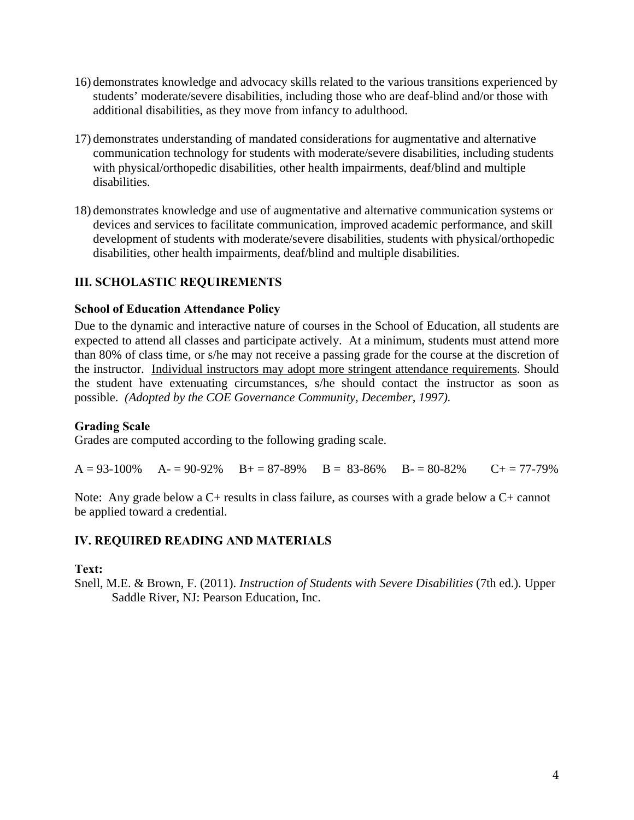- 16) demonstrates knowledge and advocacy skills related to the various transitions experienced by students' moderate/severe disabilities, including those who are deaf-blind and/or those with additional disabilities, as they move from infancy to adulthood.
- 17) demonstrates understanding of mandated considerations for augmentative and alternative communication technology for students with moderate/severe disabilities, including students with physical/orthopedic disabilities, other health impairments, deaf/blind and multiple disabilities.
- 18) demonstrates knowledge and use of augmentative and alternative communication systems or devices and services to facilitate communication, improved academic performance, and skill development of students with moderate/severe disabilities, students with physical/orthopedic disabilities, other health impairments, deaf/blind and multiple disabilities.

# **III. SCHOLASTIC REQUIREMENTS**

### **School of Education Attendance Policy**

 possible. *(Adopted by the COE Governance Community, December, 1997).* Due to the dynamic and interactive nature of courses in the School of Education, all students are expected to attend all classes and participate actively. At a minimum, students must attend more than 80% of class time, or s/he may not receive a passing grade for the course at the discretion of the instructor. Individual instructors may adopt more stringent attendance requirements. Should the student have extenuating circumstances, s/he should contact the instructor as soon as

## **Grading Scale**

Grades are computed according to the following grading scale.

 $A = 93-100\%$   $A = 90-92\%$   $B = 87-89\%$   $B = 83-86\%$   $B = 80-82\%$   $C = 77-79\%$ 

Note: Any grade below a C+ results in class failure, as courses with a grade below a C+ cannot be applied toward a credential.

## **IV. REQUIRED READING AND MATERIALS**

#### **Text:**

Snell, M.E. & Brown, F. (2011). *Instruction of Students with Severe Disabilities* (7th ed.). Upper Saddle River, NJ: Pearson Education, Inc.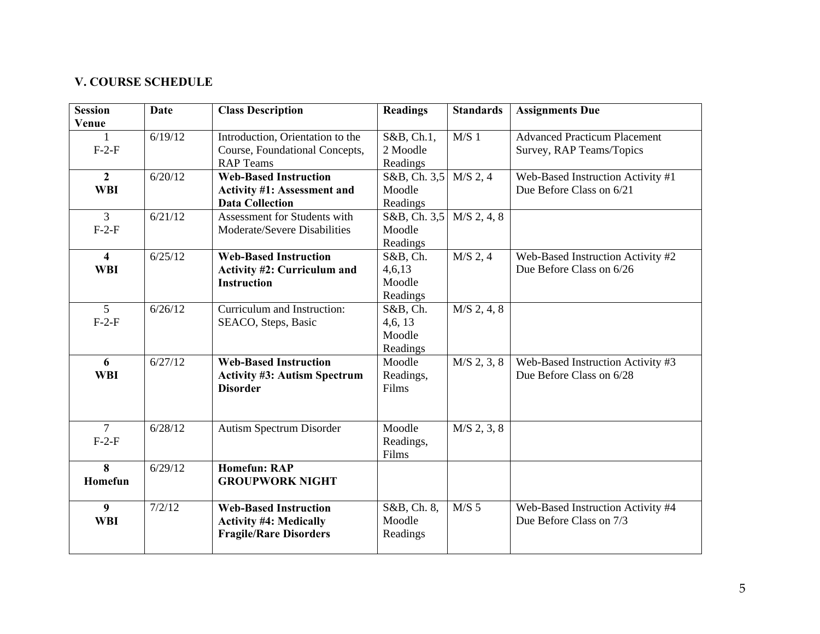#### **V. COURSE SCHEDULE**

| <b>Session</b>          | <b>Date</b> | <b>Class Description</b>            | <b>Readings</b>         | <b>Standards</b> | <b>Assignments Due</b>              |
|-------------------------|-------------|-------------------------------------|-------------------------|------------------|-------------------------------------|
| Venue                   |             |                                     |                         |                  |                                     |
| 1                       | 6/19/12     | Introduction, Orientation to the    | $S&B, Ch.\overline{1,}$ | M/S <sub>1</sub> | <b>Advanced Practicum Placement</b> |
| $F-2-F$                 |             | Course, Foundational Concepts,      | 2 Moodle                |                  | Survey, RAP Teams/Topics            |
|                         |             | <b>RAP Teams</b>                    | Readings                |                  |                                     |
| $\overline{2}$          | 6/20/12     | <b>Web-Based Instruction</b>        | $S&B$ , Ch. 3,5         | $M/S$ 2, 4       | Web-Based Instruction Activity #1   |
| <b>WBI</b>              |             | <b>Activity #1: Assessment and</b>  | Moodle                  |                  | Due Before Class on 6/21            |
|                         |             | <b>Data Collection</b>              | Readings                |                  |                                     |
| $\overline{3}$          | 6/21/12     | Assessment for Students with        | $S&B$ , Ch. 3,5         | $M/S$ 2, 4, 8    |                                     |
| $F-2-F$                 |             | Moderate/Severe Disabilities        | Moodle                  |                  |                                     |
|                         |             |                                     | Readings                |                  |                                     |
| $\overline{\mathbf{4}}$ | 6/25/12     | <b>Web-Based Instruction</b>        | S&B, Ch.                | $M/S$ 2, 4       | Web-Based Instruction Activity #2   |
| <b>WBI</b>              |             | <b>Activity #2: Curriculum and</b>  | 4,6,13                  |                  | Due Before Class on 6/26            |
|                         |             | <b>Instruction</b>                  | Moodle                  |                  |                                     |
|                         |             |                                     | Readings                |                  |                                     |
| 5                       | 6/26/12     | Curriculum and Instruction:         | S&B, Ch.                | $M/S$ 2, 4, 8    |                                     |
| $F-2-F$                 |             | SEACO, Steps, Basic                 | 4,6,13                  |                  |                                     |
|                         |             |                                     | Moodle                  |                  |                                     |
|                         |             |                                     | Readings                |                  |                                     |
| 6                       | 6/27/12     | <b>Web-Based Instruction</b>        | Moodle                  | $M/S$ 2, 3, 8    | Web-Based Instruction Activity #3   |
| <b>WBI</b>              |             | <b>Activity #3: Autism Spectrum</b> | Readings,               |                  | Due Before Class on 6/28            |
|                         |             | <b>Disorder</b>                     | Films                   |                  |                                     |
|                         |             |                                     |                         |                  |                                     |
|                         |             |                                     |                         |                  |                                     |
| $\tau$                  | 6/28/12     | Autism Spectrum Disorder            | Moodle                  | $M/S$ 2, 3, 8    |                                     |
| $F-2-F$                 |             |                                     | Readings,               |                  |                                     |
|                         |             |                                     | Films                   |                  |                                     |
| $\overline{\mathbf{8}}$ | 6/29/12     | <b>Homefun: RAP</b>                 |                         |                  |                                     |
| Homefun                 |             | <b>GROUPWORK NIGHT</b>              |                         |                  |                                     |
| $\boldsymbol{9}$        | 7/2/12      | <b>Web-Based Instruction</b>        | S&B, Ch. 8,             | $M/S$ 5          | Web-Based Instruction Activity #4   |
| <b>WBI</b>              |             | <b>Activity #4: Medically</b>       | Moodle                  |                  | Due Before Class on 7/3             |
|                         |             | <b>Fragile/Rare Disorders</b>       | Readings                |                  |                                     |
|                         |             |                                     |                         |                  |                                     |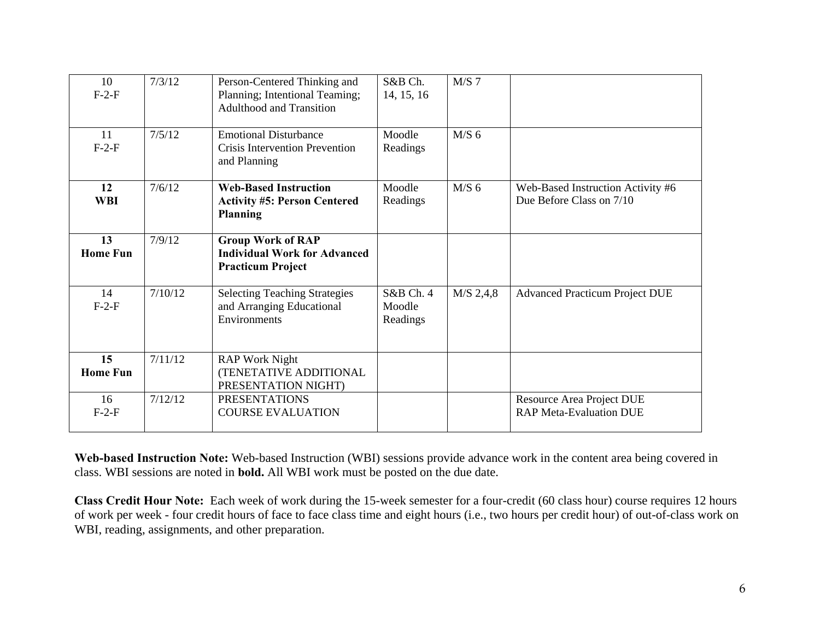| 10<br>$F-2-F$         | 7/3/12  | Person-Centered Thinking and<br>Planning; Intentional Teaming;<br><b>Adulthood and Transition</b> | S&B Ch.<br>14, 15, 16           | $M/S$ 7     |                                                                    |
|-----------------------|---------|---------------------------------------------------------------------------------------------------|---------------------------------|-------------|--------------------------------------------------------------------|
| 11<br>$F-2-F$         | 7/5/12  | <b>Emotional Disturbance</b><br>Crisis Intervention Prevention<br>and Planning                    | Moodle<br>Readings              | $M/S$ 6     |                                                                    |
| 12<br><b>WBI</b>      | 7/6/12  | <b>Web-Based Instruction</b><br><b>Activity #5: Person Centered</b><br><b>Planning</b>            | Moodle<br>Readings              | $M/S$ 6     | Web-Based Instruction Activity #6<br>Due Before Class on 7/10      |
| 13<br><b>Home Fun</b> | 7/9/12  | <b>Group Work of RAP</b><br><b>Individual Work for Advanced</b><br><b>Practicum Project</b>       |                                 |             |                                                                    |
| 14<br>$F-2-F$         | 7/10/12 | <b>Selecting Teaching Strategies</b><br>and Arranging Educational<br>Environments                 | S&B Ch. 4<br>Moodle<br>Readings | $M/S$ 2,4,8 | <b>Advanced Practicum Project DUE</b>                              |
| 15<br><b>Home Fun</b> | 7/11/12 | <b>RAP Work Night</b><br>(TENETATIVE ADDITIONAL<br>PRESENTATION NIGHT)                            |                                 |             |                                                                    |
| 16<br>$F-2-F$         | 7/12/12 | <b>PRESENTATIONS</b><br><b>COURSE EVALUATION</b>                                                  |                                 |             | <b>Resource Area Project DUE</b><br><b>RAP Meta-Evaluation DUE</b> |

**Web-based Instruction Note:** Web-based Instruction (WBI) sessions provide advance work in the content area being covered in class. WBI sessions are noted in **bold.** All WBI work must be posted on the due date.

**Class Credit Hour Note:** Each week of work during the 15-week semester for a four-credit (60 class hour) course requires 12 hours of work per week - four credit hours of face to face class time and eight hours (i.e., two hours per credit hour) of out-of-class work on WBI, reading, assignments, and other preparation.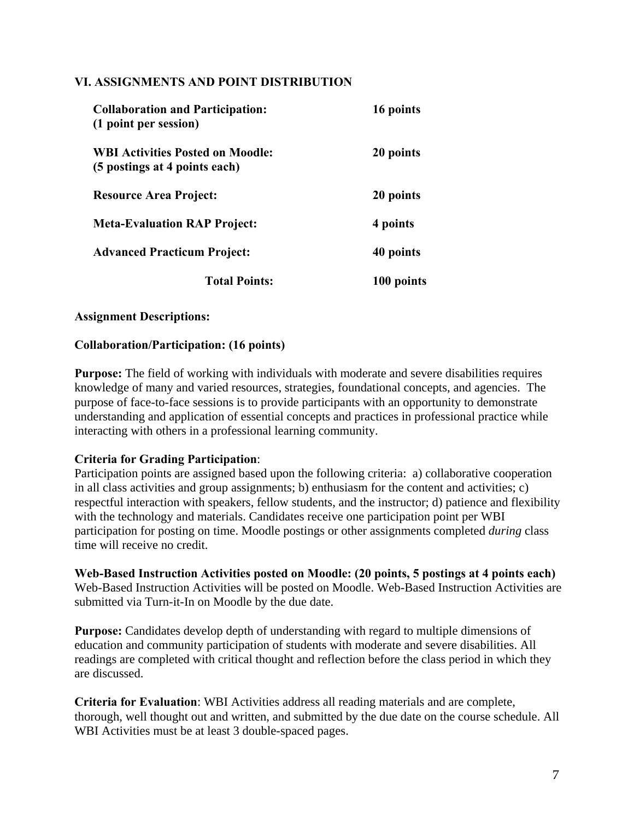### **VI. ASSIGNMENTS AND POINT DISTRIBUTION**

| <b>Collaboration and Participation:</b><br>(1 point per session)         | 16 points  |
|--------------------------------------------------------------------------|------------|
| <b>WBI Activities Posted on Moodle:</b><br>(5 postings at 4 points each) | 20 points  |
| <b>Resource Area Project:</b>                                            | 20 points  |
| <b>Meta-Evaluation RAP Project:</b>                                      | 4 points   |
| <b>Advanced Practicum Project:</b>                                       | 40 points  |
| <b>Total Points:</b>                                                     | 100 points |

### **Assignment Descriptions:**

#### **Collaboration/Participation: (16 points)**

**Purpose:** The field of working with individuals with moderate and severe disabilities requires knowledge of many and varied resources, strategies, foundational concepts, and agencies. The purpose of face-to-face sessions is to provide participants with an opportunity to demonstrate understanding and application of essential concepts and practices in professional practice while interacting with others in a professional learning community.

#### **Criteria for Grading Participation**:

Participation points are assigned based upon the following criteria: a) collaborative cooperation in all class activities and group assignments; b) enthusiasm for the content and activities; c) respectful interaction with speakers, fellow students, and the instructor; d) patience and flexibility with the technology and materials. Candidates receive one participation point per WBI participation for posting on time. Moodle postings or other assignments completed *during* class time will receive no credit.

**Web-Based Instruction Activities posted on Moodle: (20 points, 5 postings at 4 points each)**  Web-Based Instruction Activities will be posted on Moodle. Web-Based Instruction Activities are submitted via Turn-it-In on Moodle by the due date.

**Purpose:** Candidates develop depth of understanding with regard to multiple dimensions of education and community participation of students with moderate and severe disabilities. All readings are completed with critical thought and reflection before the class period in which they are discussed.

**Criteria for Evaluation**: WBI Activities address all reading materials and are complete, thorough, well thought out and written, and submitted by the due date on the course schedule. All WBI Activities must be at least 3 double-spaced pages.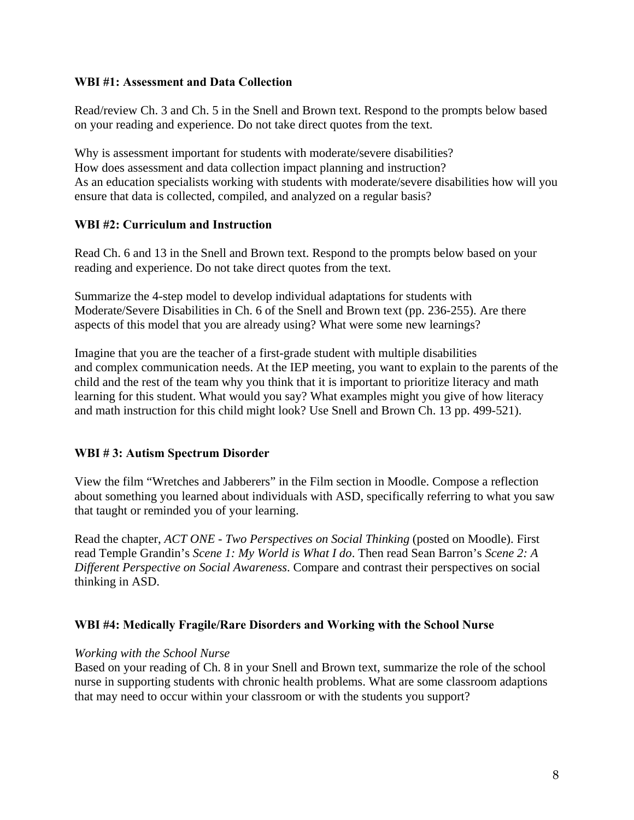### **WBI #1: Assessment and Data Collection**

Read/review Ch. 3 and Ch. 5 in the Snell and Brown text. Respond to the prompts below based on your reading and experience. Do not take direct quotes from the text.

 ensure that data is collected, compiled, and analyzed on a regular basis? Why is assessment important for students with moderate/severe disabilities? How does assessment and data collection impact planning and instruction? As an education specialists working with students with moderate/severe disabilities how will you

### **WBI #2: Curriculum and Instruction**

Read Ch. 6 and 13 in the Snell and Brown text. Respond to the prompts below based on your reading and experience. Do not take direct quotes from the text.

Summarize the 4-step model to develop individual adaptations for students with Moderate/Severe Disabilities in Ch. 6 of the Snell and Brown text (pp. 236-255). Are there aspects of this model that you are already using? What were some new learnings?

Imagine that you are the teacher of a first-grade student with multiple disabilities and complex communication needs. At the IEP meeting, you want to explain to the parents of the child and the rest of the team why you think that it is important to prioritize literacy and math learning for this student. What would you say? What examples might you give of how literacy and math instruction for this child might look? Use Snell and Brown Ch. 13 pp. 499-521).

## **WBI # 3: Autism Spectrum Disorder**

View the film "Wretches and Jabberers" in the Film section in Moodle. Compose a reflection about something you learned about individuals with ASD, specifically referring to what you saw that taught or reminded you of your learning.

Read the chapter, *ACT ONE - Two Perspectives on Social Thinking* (posted on Moodle). First read Temple Grandin's *Scene 1: My World is What I do*. Then read Sean Barron's *Scene 2: A Different Perspective on Social Awareness*. Compare and contrast their perspectives on social thinking in ASD.

#### **WBI #4: Medically Fragile/Rare Disorders and Working with the School Nurse**

#### *Working with the School Nurse*

 that may need to occur within your classroom or with the students you support? Based on your reading of Ch. 8 in your Snell and Brown text, summarize the role of the school nurse in supporting students with chronic health problems. What are some classroom adaptions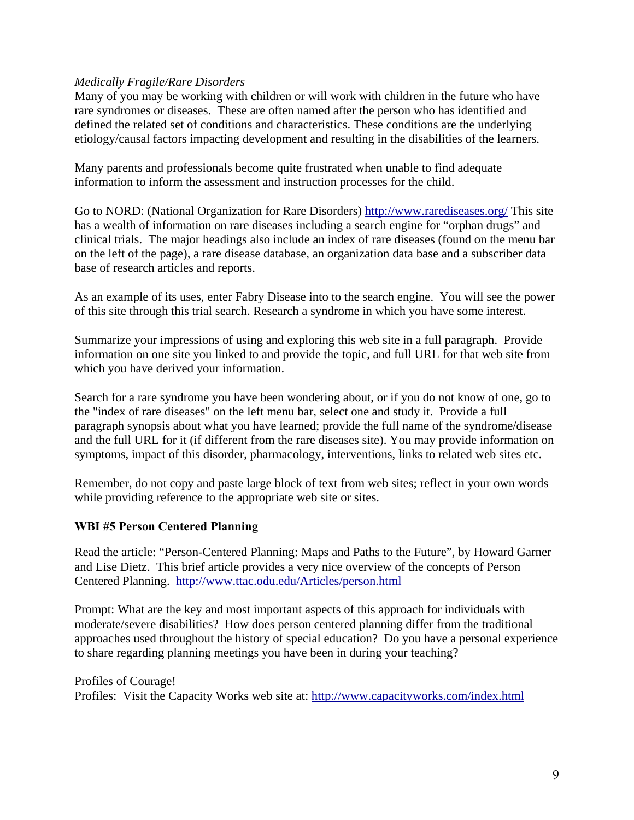### *Medically Fragile/Rare Disorders*

Many of you may be working with children or will work with children in the future who have rare syndromes or diseases. These are often named after the person who has identified and defined the related set of conditions and characteristics. These conditions are the underlying etiology/causal factors impacting development and resulting in the disabilities of the learners.

Many parents and professionals become quite frustrated when unable to find adequate information to inform the assessment and instruction processes for the child.

Go to NORD: (National Organization for Rare Disorders) http://www.rarediseases.org/ This site has a wealth of information on rare diseases including a search engine for "orphan drugs" and clinical trials. The major headings also include an index of rare diseases (found on the menu bar on the left of the page), a rare disease database, an organization data base and a subscriber data base of research articles and reports.

As an example of its uses, enter Fabry Disease into to the search engine. You will see the power of this site through this trial search. Research a syndrome in which you have some interest.

Summarize your impressions of using and exploring this web site in a full paragraph. Provide information on one site you linked to and provide the topic, and full URL for that web site from which you have derived your information.

Search for a rare syndrome you have been wondering about, or if you do not know of one, go to the "index of rare diseases" on the left menu bar, select one and study it. Provide a full paragraph synopsis about what you have learned; provide the full name of the syndrome/disease and the full URL for it (if different from the rare diseases site). You may provide information on symptoms, impact of this disorder, pharmacology, interventions, links to related web sites etc.

Remember, do not copy and paste large block of text from web sites; reflect in your own words while providing reference to the appropriate web site or sites.

#### **WBI #5 Person Centered Planning**

Centered Planning. http://www.ttac.odu.edu/Articles/person.html Read the article: "Person-Centered Planning: Maps and Paths to the Future", by Howard Garner and Lise Dietz. This brief article provides a very nice overview of the concepts of Person

 to share regarding planning meetings you have been in during your teaching? Prompt: What are the key and most important aspects of this approach for individuals with moderate/severe disabilities? How does person centered planning differ from the traditional approaches used throughout the history of special education? Do you have a personal experience

Profiles: Visit the Capacity Works web site at: http://www.capacityworks.com/index.html Profiles of Courage!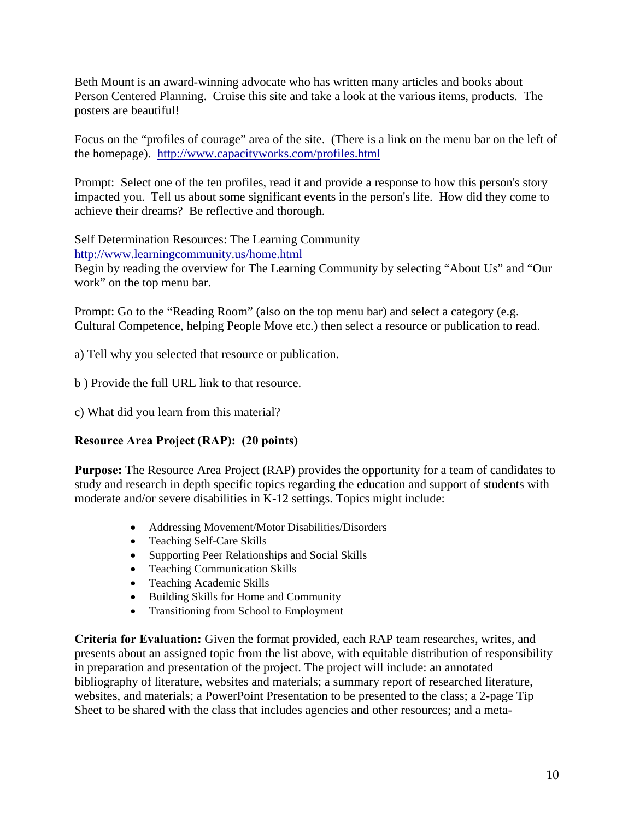Beth Mount is an award-winning advocate who has written many articles and books about Person Centered Planning. Cruise this site and take a look at the various items, products. The posters are beautiful!

the homepage). http://www.capacityworks.com/profiles.html Focus on the "profiles of courage" area of the site. (There is a link on the menu bar on the left of

Prompt: Select one of the ten profiles, read it and provide a response to how this person's story impacted you. Tell us about some significant events in the person's life. How did they come to achieve their dreams? Be reflective and thorough.

Self Determination Resources: The Learning Community http://www.learningcommunity.us/home.html

Begin by reading the overview for The Learning Community by selecting "About Us" and "Our work" on the top menu bar.

Prompt: Go to the "Reading Room" (also on the top menu bar) and select a category (e.g. Cultural Competence, helping People Move etc.) then select a resource or publication to read.

a) Tell why you selected that resource or publication.

b ) Provide the full URL link to that resource.

c) What did you learn from this material?

## **Resource Area Project (RAP): (20 points)**

**Purpose:** The Resource Area Project (RAP) provides the opportunity for a team of candidates to study and research in depth specific topics regarding the education and support of students with moderate and/or severe disabilities in K-12 settings. Topics might include:

- Addressing Movement/Motor Disabilities/Disorders
- Teaching Self-Care Skills
- Supporting Peer Relationships and Social Skills
- Teaching Communication Skills
- Teaching Academic Skills
- Building Skills for Home and Community
- Transitioning from School to Employment

**Criteria for Evaluation:** Given the format provided, each RAP team researches, writes, and presents about an assigned topic from the list above, with equitable distribution of responsibility in preparation and presentation of the project. The project will include: an annotated bibliography of literature, websites and materials; a summary report of researched literature, websites, and materials; a PowerPoint Presentation to be presented to the class; a 2-page Tip Sheet to be shared with the class that includes agencies and other resources; and a meta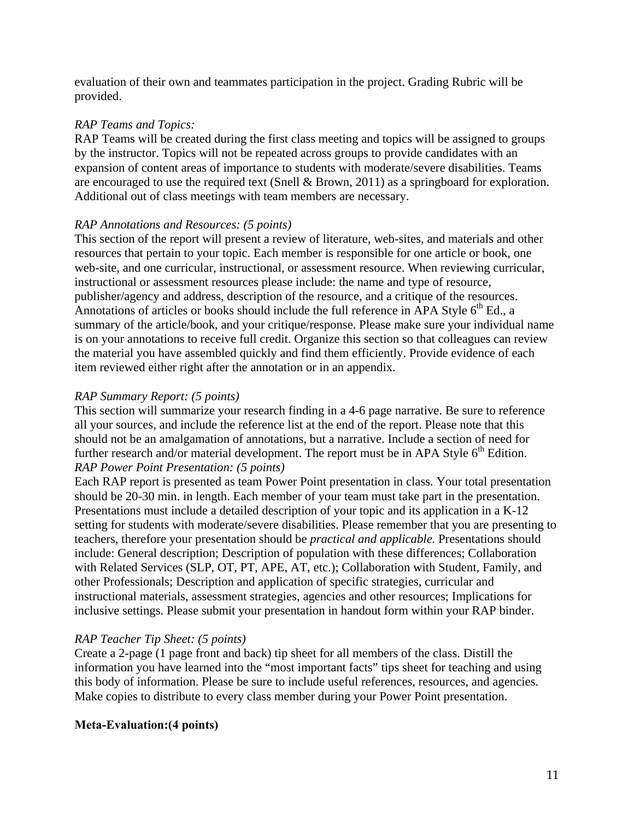evaluation of their own and teammates participation in the project. Grading Rubric will be provided.

# *RAP Teams and Topics:*

RAP Teams will be created during the first class meeting and topics will be assigned to groups by the instructor. Topics will not be repeated across groups to provide candidates with an expansion of content areas of importance to students with moderate/severe disabilities. Teams are encouraged to use the required text (Snell & Brown, 2011) as a springboard for exploration. Additional out of class meetings with team members are necessary.

## *RAP Annotations and Resources: (5 points)*

This section of the report will present a review of literature, web-sites, and materials and other resources that pertain to your topic. Each member is responsible for one article or book, one web-site, and one curricular, instructional, or assessment resource. When reviewing curricular, instructional or assessment resources please include: the name and type of resource, publisher/agency and address, description of the resource, and a critique of the resources. Annotations of articles or books should include the full reference in APA Style  $6<sup>th</sup>$  Ed., a summary of the article/book, and your critique/response. Please make sure your individual name is on your annotations to receive full credit. Organize this section so that colleagues can review the material you have assembled quickly and find them efficiently. Provide evidence of each item reviewed either right after the annotation or in an appendix.

## *RAP Summary Report: (5 points)*

This section will summarize your research finding in a 4-6 page narrative. Be sure to reference all your sources, and include the reference list at the end of the report. Please note that this should not be an amalgamation of annotations, but a narrative. Include a section of need for further research and/or material development. The report must be in APA Style  $6<sup>th</sup>$  Edition. *RAP Power Point Presentation: (5 points)* 

Each RAP report is presented as team Power Point presentation in class. Your total presentation should be 20-30 min. in length. Each member of your team must take part in the presentation. Presentations must include a detailed description of your topic and its application in a K-12 setting for students with moderate/severe disabilities. Please remember that you are presenting to teachers, therefore your presentation should be *practical and applicable.* Presentations should include: General description; Description of population with these differences; Collaboration with Related Services (SLP, OT, PT, APE, AT, etc.); Collaboration with Student, Family, and other Professionals; Description and application of specific strategies, curricular and instructional materials, assessment strategies, agencies and other resources; Implications for inclusive settings. Please submit your presentation in handout form within your RAP binder.

## *RAP Teacher Tip Sheet: (5 points)*

Create a 2-page (1 page front and back) tip sheet for all members of the class. Distill the information you have learned into the "most important facts" tips sheet for teaching and using this body of information. Please be sure to include useful references, resources, and agencies. Make copies to distribute to every class member during your Power Point presentation.

## **Meta-Evaluation:(4 points)**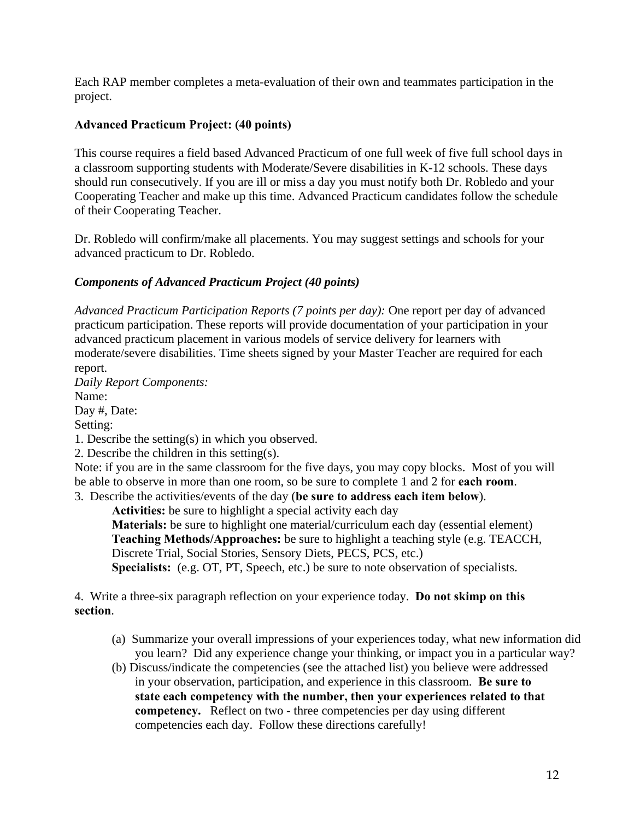Each RAP member completes a meta-evaluation of their own and teammates participation in the project.

# **Advanced Practicum Project: (40 points)**

This course requires a field based Advanced Practicum of one full week of five full school days in a classroom supporting students with Moderate/Severe disabilities in K-12 schools. These days should run consecutively. If you are ill or miss a day you must notify both Dr. Robledo and your Cooperating Teacher and make up this time. Advanced Practicum candidates follow the schedule of their Cooperating Teacher.

Dr. Robledo will confirm/make all placements. You may suggest settings and schools for your advanced practicum to Dr. Robledo.

# *Components of Advanced Practicum Project (40 points)*

*Advanced Practicum Participation Reports (7 points per day):* One report per day of advanced practicum participation. These reports will provide documentation of your participation in your advanced practicum placement in various models of service delivery for learners with moderate/severe disabilities. Time sheets signed by your Master Teacher are required for each report.

 Setting: *Daily Report Components:*  Name: Day #, Date:

1. Describe the setting(s) in which you observed.

2. Describe the children in this setting(s).

Note: if you are in the same classroom for the five days, you may copy blocks. Most of you will be able to observe in more than one room, so be sure to complete 1 and 2 for **each room**.

3. Describe the activities/events of the day (**be sure to address each item below**).

**Activities:** be sure to highlight a special activity each day

**Materials:** be sure to highlight one material/curriculum each day (essential element) **Teaching Methods/Approaches:** be sure to highlight a teaching style (e.g. TEACCH, Discrete Trial, Social Stories, Sensory Diets, PECS, PCS, etc.) **Specialists:** (e.g. OT, PT, Speech, etc.) be sure to note observation of specialists.

4. Write a three-six paragraph reflection on your experience today. **Do not skimp on this section**.

- (a) Summarize your overall impressions of your experiences today, what new information did you learn? Did any experience change your thinking, or impact you in a particular way?
- (b) Discuss/indicate the competencies (see the attached list) you believe were addressed in your observation, participation, and experience in this classroom. **Be sure to state each competency with the number, then your experiences related to that competency.** Reflect on two - three competencies per day using different competencies each day. Follow these directions carefully!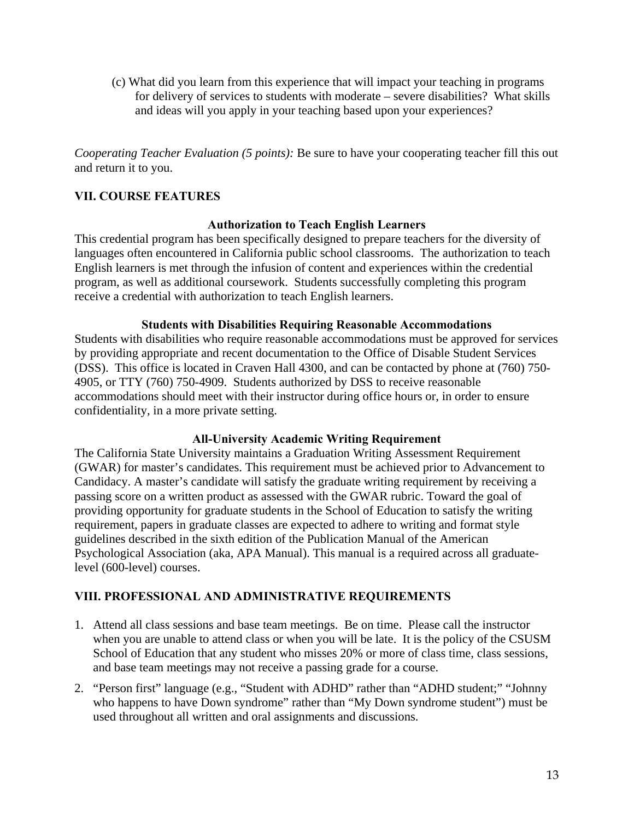(c) What did you learn from this experience that will impact your teaching in programs for delivery of services to students with moderate – severe disabilities? What skills and ideas will you apply in your teaching based upon your experiences?

*Cooperating Teacher Evaluation (5 points):* Be sure to have your cooperating teacher fill this out and return it to you.

# **VII. COURSE FEATURES**

### **Authorization to Teach English Learners**

This credential program has been specifically designed to prepare teachers for the diversity of languages often encountered in California public school classrooms. The authorization to teach English learners is met through the infusion of content and experiences within the credential program, as well as additional coursework. Students successfully completing this program receive a credential with authorization to teach English learners.

#### **Students with Disabilities Requiring Reasonable Accommodations**

Students with disabilities who require reasonable accommodations must be approved for services by providing appropriate and recent documentation to the Office of Disable Student Services (DSS). This office is located in Craven Hall 4300, and can be contacted by phone at (760) 750 4905, or TTY (760) 750-4909. Students authorized by DSS to receive reasonable accommodations should meet with their instructor during office hours or, in order to ensure confidentiality, in a more private setting.

## **All-University Academic Writing Requirement**

The California State University maintains a Graduation Writing Assessment Requirement (GWAR) for master's candidates. This requirement must be achieved prior to Advancement to Candidacy. A master's candidate will satisfy the graduate writing requirement by receiving a passing score on a written product as assessed with the GWAR rubric. Toward the goal of providing opportunity for graduate students in the School of Education to satisfy the writing requirement, papers in graduate classes are expected to adhere to writing and format style guidelines described in the sixth edition of the Publication Manual of the American Psychological Association (aka, APA Manual). This manual is a required across all graduatelevel (600-level) courses.

## **VIII. PROFESSIONAL AND ADMINISTRATIVE REQUIREMENTS**

- 1. Attend all class sessions and base team meetings. Be on time. Please call the instructor when you are unable to attend class or when you will be late. It is the policy of the CSUSM School of Education that any student who misses 20% or more of class time, class sessions, and base team meetings may not receive a passing grade for a course.
- 2. "Person first" language (e.g., "Student with ADHD" rather than "ADHD student;" "Johnny who happens to have Down syndrome" rather than "My Down syndrome student") must be used throughout all written and oral assignments and discussions.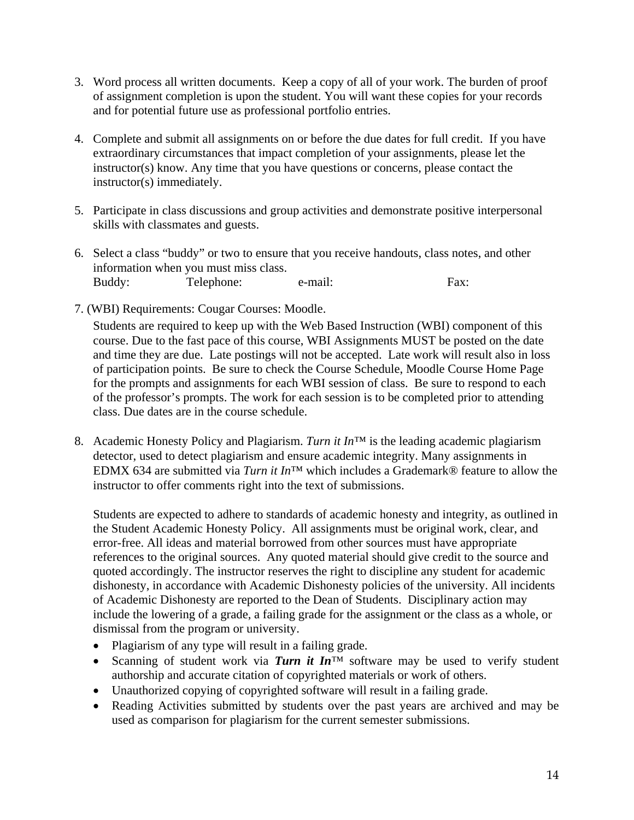- 3. Word process all written documents. Keep a copy of all of your work. The burden of proof of assignment completion is upon the student. You will want these copies for your records and for potential future use as professional portfolio entries.
- 4. Complete and submit all assignments on or before the due dates for full credit. If you have extraordinary circumstances that impact completion of your assignments, please let the instructor(s) know. Any time that you have questions or concerns, please contact the instructor(s) immediately.
- 5. Participate in class discussions and group activities and demonstrate positive interpersonal skills with classmates and guests.
- 6. Select a class "buddy" or two to ensure that you receive handouts, class notes, and other information when you must miss class. Buddy: Telephone: e-mail: Fax:
- 7. (WBI) Requirements: Cougar Courses: Moodle.

Students are required to keep up with the Web Based Instruction (WBI) component of this course. Due to the fast pace of this course, WBI Assignments MUST be posted on the date and time they are due. Late postings will not be accepted. Late work will result also in loss of participation points. Be sure to check the Course Schedule, Moodle Course Home Page for the prompts and assignments for each WBI session of class. Be sure to respond to each of the professor's prompts. The work for each session is to be completed prior to attending class. Due dates are in the course schedule.

 8. Academic Honesty Policy and Plagiarism. *Turn it In*™ is the leading academic plagiarism detector, used to detect plagiarism and ensure academic integrity. Many assignments in EDMX 634 are submitted via *Turn it In*™ which includes a Grademark® feature to allow the instructor to offer comments right into the text of submissions.

Students are expected to adhere to standards of academic honesty and integrity, as outlined in the Student Academic Honesty Policy. All assignments must be original work, clear, and error-free. All ideas and material borrowed from other sources must have appropriate references to the original sources. Any quoted material should give credit to the source and quoted accordingly. The instructor reserves the right to discipline any student for academic dishonesty, in accordance with Academic Dishonesty policies of the university. All incidents of Academic Dishonesty are reported to the Dean of Students. Disciplinary action may include the lowering of a grade, a failing grade for the assignment or the class as a whole, or dismissal from the program or university.

- Plagiarism of any type will result in a failing grade.
- Scanning of student work via *Turn it In*<sup>™</sup> software may be used to verify student authorship and accurate citation of copyrighted materials or work of others.
- Unauthorized copying of copyrighted software will result in a failing grade.
- Reading Activities submitted by students over the past years are archived and may be used as comparison for plagiarism for the current semester submissions.